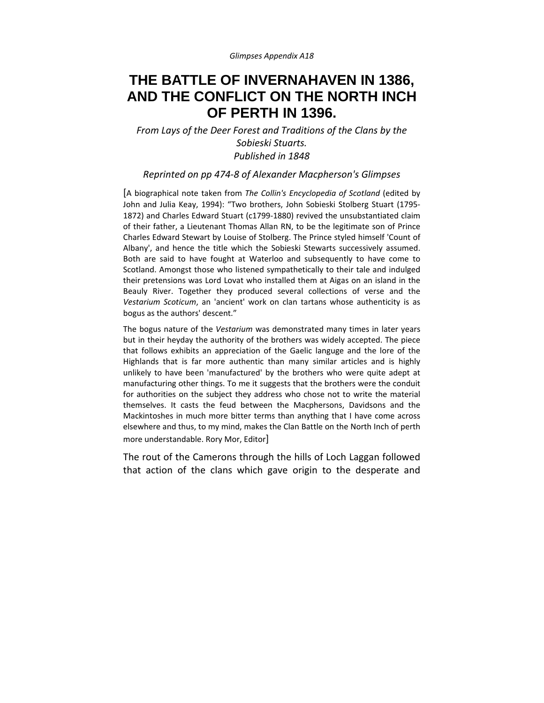*Glimpses Appendix A18*

## **THE BATTLE OF INVERNAHAVEN IN 1386, AND THE CONFLICT ON THE NORTH INCH OF PERTH IN 1396.**

*From Lays of the Deer Forest and Traditions of the Clans by the Sobieski Stuarts. Published in 1848*

*Reprinted on pp 474‐8 of Alexander Macpherson's Glimpses*

[A biographical note taken from *The Collin's Encyclopedia of Scotland* (edited by John and Julia Keay, 1994): "Two brothers, John Sobieski Stolberg Stuart (1795‐ 1872) and Charles Edward Stuart (c1799‐1880) revived the unsubstantiated claim of their father, a Lieutenant Thomas Allan RN, to be the legitimate son of Prince Charles Edward Stewart by Louise of Stolberg. The Prince styled himself 'Count of Albany', and hence the title which the Sobieski Stewarts successively assumed. Both are said to have fought at Waterloo and subsequently to have come to Scotland. Amongst those who listened sympathetically to their tale and indulged their pretensions was Lord Lovat who installed them at Aigas on an island in the Beauly River. Together they produced several collections of verse and the *Vestarium Scoticum*, an 'ancient' work on clan tartans whose authenticity is as bogus as the authors' descent."

The bogus nature of the *Vestarium* was demonstrated many times in later years but in their heyday the authority of the brothers was widely accepted. The piece that follows exhibits an appreciation of the Gaelic languge and the lore of the Highlands that is far more authentic than many similar articles and is highly unlikely to have been 'manufactured' by the brothers who were quite adept at manufacturing other things. To me it suggests that the brothers were the conduit for authorities on the subject they address who chose not to write the material themselves. It casts the feud between the Macphersons, Davidsons and the Mackintoshes in much more bitter terms than anything that I have come across elsewhere and thus, to my mind, makes the Clan Battle on the North Inch of perth more understandable. Rory Mor, Editor]

The rout of the Camerons through the hills of Loch Laggan followed that action of the clans which gave origin to the desperate and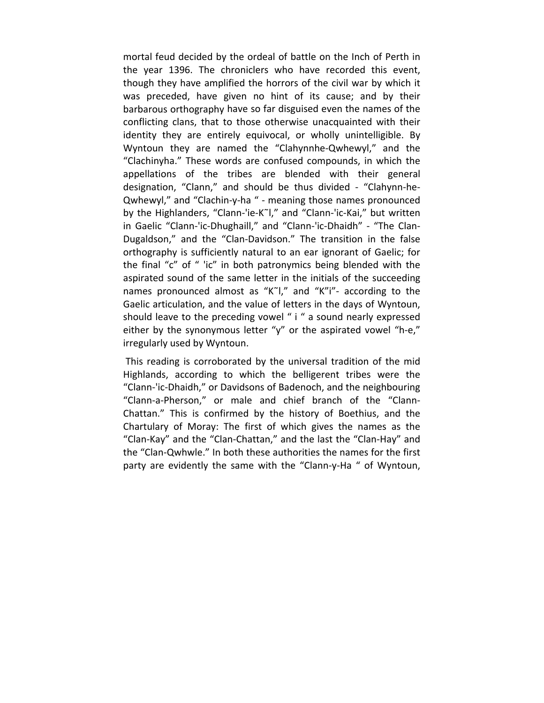mortal feud decided by the ordeal of battle on the Inch of Perth in the year 1396. The chroniclers who have recorded this event, though they have amplified the horrors of the civil war by which it was preceded, have given no hint of its cause; and by their barbarous orthography have so far disguised even the names of the conflicting clans, that to those otherwise unacquainted with their identity they are entirely equivocal, or wholly unintelligible. By Wyntoun they are named the "Clahynnhe‐Qwhewyl," and the "Clachinyha." These words are confused compounds, in which the appellations of the tribes are blended with their general designation, "Clann," and should be thus divided ‐ "Clahynn‐he‐ Qwhewyl," and "Clachin‐y‐ha " ‐ meaning those names pronounced by the Highlanders, "Clann‐'ie‐K˜l," and "Clann‐'ic‐Kai," but written in Gaelic "Clann‐'ic‐Dhughaill," and "Clann‐'ic‐Dhaidh" ‐ "The Clan‐ Dugaldson," and the "Clan‐Davidson." The transition in the false orthography is sufficiently natural to an ear ignorant of Gaelic; for the final "c" of " 'ic" in both patronymics being blended with the aspirated sound of the same letter in the initials of the succeeding names pronounced almost as "K˜l," and "K"i"‐ according to the Gaelic articulation, and the value of letters in the days of Wyntoun, should leave to the preceding vowel " i " a sound nearly expressed either by the synonymous letter "y" or the aspirated vowel "h-e," irregularly used by Wyntoun.

This reading is corroborated by the universal tradition of the mid Highlands, according to which the belligerent tribes were the "Clann‐'ic‐Dhaidh," or Davidsons of Badenoch, and the neighbouring "Clann‐a‐Pherson," or male and chief branch of the "Clann‐ Chattan." This is confirmed by the history of Boethius, and the Chartulary of Moray: The first of which gives the names as the "Clan‐Kay" and the "Clan‐Chattan," and the last the "Clan‐Hay" and the "Clan‐Qwhwle." In both these authorities the names for the first party are evidently the same with the "Clann‐y‐Ha " of Wyntoun,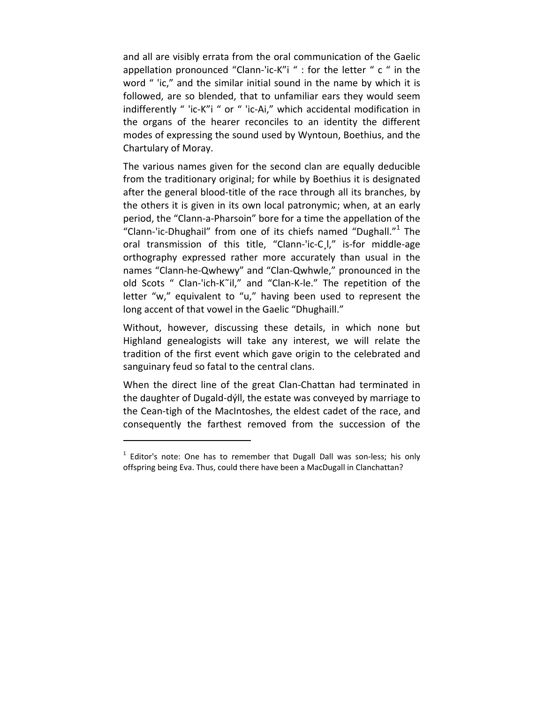and all are visibly errata from the oral communication of the Gaelic appellation pronounced "Clann-'ic-K"i " : for the letter " c " in the word " 'ic," and the similar initial sound in the name by which it is followed, are so blended, that to unfamiliar ears they would seem indifferently " 'ic‐K"i " or " 'ic‐Ai," which accidental modification in the organs of the hearer reconciles to an identity the different modes of expressing the sound used by Wyntoun, Boethius, and the Chartulary of Moray.

The various names given for the second clan are equally deducible from the traditionary original; for while by Boethius it is designated after the general blood‐title of the race through all its branches, by the others it is given in its own local patronymic; when, at an early period, the "Clann‐a‐Pharsoin" bore for a time the appellation of the "Clann‐'ic‐Dhughail" from one of its chiefs named "Dughall."<sup>1</sup> The oral transmission of this title, "Clann‐'ic‐C¸l," is‐for middle‐age orthography expressed rather more accurately than usual in the names "Clann‐he‐Qwhewy" and "Clan‐Qwhwle," pronounced in the old Scots " Clan‐'ich‐K˜il," and "Clan‐K‐le." The repetition of the letter "w," equivalent to "u," having been used to represent the long accent of that vowel in the Gaelic "Dhughaill."

Without, however, discussing these details, in which none but Highland genealogists will take any interest, we will relate the tradition of the first event which gave origin to the celebrated and sanguinary feud so fatal to the central clans.

When the direct line of the great Clan‐Chattan had terminated in the daughter of Dugald‐dýll, the estate was conveyed by marriage to the Cean‐tigh of the MacIntoshes, the eldest cadet of the race, and consequently the farthest removed from the succession of the

 $1$  Editor's note: One has to remember that Dugall Dall was son-less; his only offspring being Eva. Thus, could there have been a MacDugall in Clanchattan?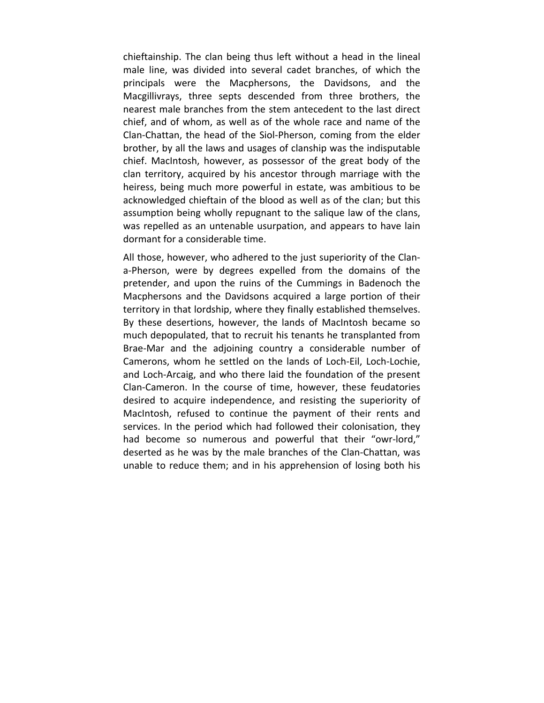chieftainship. The clan being thus left without a head in the lineal male line, was divided into several cadet branches, of which the principals were the Macphersons, the Davidsons, and the Macgillivrays, three septs descended from three brothers, the nearest male branches from the stem antecedent to the last direct chief, and of whom, as well as of the whole race and name of the Clan‐Chattan, the head of the Siol‐Pherson, coming from the elder brother, by all the laws and usages of clanship was the indisputable chief. MacIntosh, however, as possessor of the great body of the clan territory, acquired by his ancestor through marriage with the heiress, being much more powerful in estate, was ambitious to be acknowledged chieftain of the blood as well as of the cIan; but this assumption being wholly repugnant to the salique law of the clans, was repelled as an untenable usurpation, and appears to have lain dormant for a considerable time.

All those, however, who adhered to the just superiority of the Clana‐Pherson, were by degrees expelled from the domains of the pretender, and upon the ruins of the Cummings in Badenoch the Macphersons and the Davidsons acquired a large portion of their territory in that lordship, where they finally established themselves. By these desertions, however, the lands of MacIntosh became so much depopulated, that to recruit his tenants he transplanted from Brae‐Mar and the adjoining country a considerable number of Camerons, whom he settled on the lands of Loch‐Eil, Loch‐Lochie, and Loch‐Arcaig, and who there laid the foundation of the present Clan‐Cameron. In the course of time, however, these feudatories desired to acquire independence, and resisting the superiority of MacIntosh, refused to continue the payment of their rents and services. In the period which had followed their colonisation, they had become so numerous and powerful that their "owr-lord," deserted as he was by the male branches of the Clan‐Chattan, was unable to reduce them; and in his apprehension of losing both his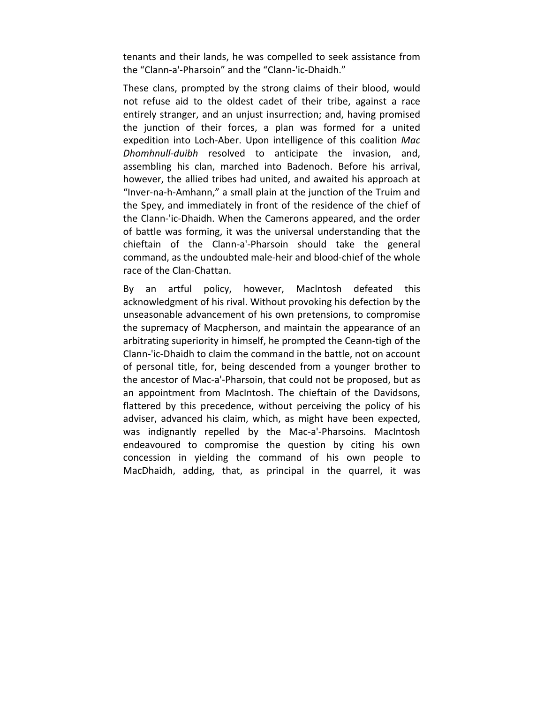tenants and their lands, he was compelled to seek assistance from the "Clann‐a'‐Pharsoin" and the "Clann‐'ic‐Dhaidh."

These clans, prompted by the strong claims of their blood, would not refuse aid to the oldest cadet of their tribe, against a race entirely stranger, and an unjust insurrection; and, having promised the junction of their forces, a plan was formed for a united expedition into Loch‐Aber. Upon intelligence of this coalition *Mac Dhomhnull‐duibh* resolved to anticipate the invasion, and, assembling his clan, marched into Badenoch. Before his arrival, however, the allied tribes had united, and awaited his approach at "Inver‐na‐h‐Amhann," a small plain at the junction of the Truim and the Spey, and immediately in front of the residence of the chief of the Clann‐'ic‐Dhaidh. When the Camerons appeared, and the order of battle was forming, it was the universal understanding that the chieftain of the Clann‐a'‐Pharsoin should take the general command, as the undoubted male‐heir and blood‐chief of the whole race of the Clan‐Chattan.

By an artful policy, however, Maclntosh defeated this acknowledgment of his rival. Without provoking his defection by the unseasonable advancement of his own pretensions, to compromise the supremacy of Macpherson, and maintain the appearance of an arbitrating superiority in himself, he prompted the Ceann‐tigh of the Clann‐'ic‐Dhaidh to claim the command in the battle, not on account of personal title, for, being descended from a younger brother to the ancestor of Mac‐a'‐Pharsoin, that could not be proposed, but as an appointment from MacIntosh. The chieftain of the Davidsons, flattered by this precedence, without perceiving the policy of his adviser, advanced his claim, which, as might have been expected, was indignantly repelled by the Mac-a'-Pharsoins. MacIntosh endeavoured to compromise the question by citing his own concession in yielding the command of his own people to MacDhaidh, adding, that, as principal in the quarrel, it was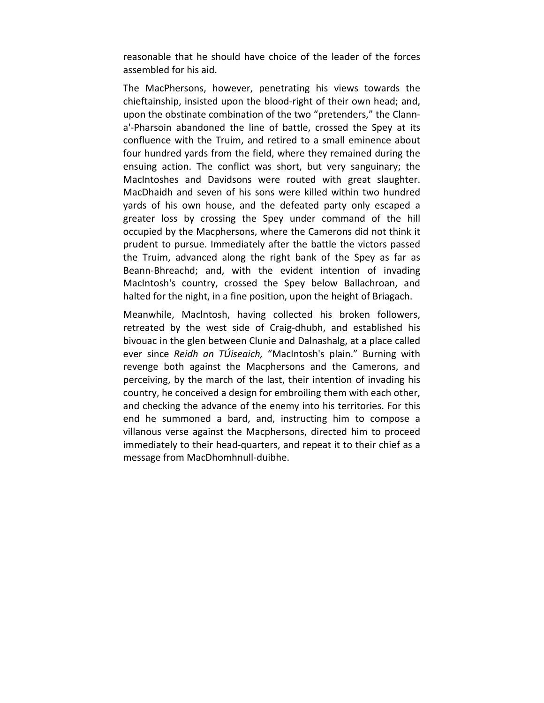reasonable that he should have choice of the leader of the forces assembled for his aid.

The MacPhersons, however, penetrating his views towards the chieftainship, insisted upon the blood‐right of their own head; and, upon the obstinate combination of the two "pretenders," the Clann‐ a'‐Pharsoin abandoned the line of battle, crossed the Spey at its confluence with the Truim, and retired to a small eminence about four hundred yards from the field, where they remained during the ensuing action. The conflict was short, but very sanguinary; the MacIntoshes and Davidsons were routed with great slaughter. MacDhaidh and seven of his sons were killed within two hundred yards of his own house, and the defeated party only escaped a greater loss by crossing the Spey under command of the hill occupied by the Macphersons, where the Camerons did not think it prudent to pursue. Immediately after the battle the victors passed the Truim, advanced along the right bank of the Spey as far as Beann‐Bhreachd; and, with the evident intention of invading MacIntosh's country, crossed the Spey below Ballachroan, and halted for the night, in a fine position, upon the height of Briagach.

Meanwhile, Maclntosh, having collected his broken followers, retreated by the west side of Craig‐dhubh, and established his bivouac in the glen between Clunie and Dalnashalg, at a place called ever since *Reidh an TÚiseaich,* "MacIntosh's plain." Burning with revenge both against the Macphersons and the Camerons, and perceiving, by the march of the last, their intention of invading his country, he conceived a design for embroiling them with each other, and checking the advance of the enemy into his territories. For this end he summoned a bard, and, instructing him to compose a villanous verse against the Macphersons, directed him to proceed immediately to their head‐quarters, and repeat it to their chief as a message from MacDhomhnull‐duibhe.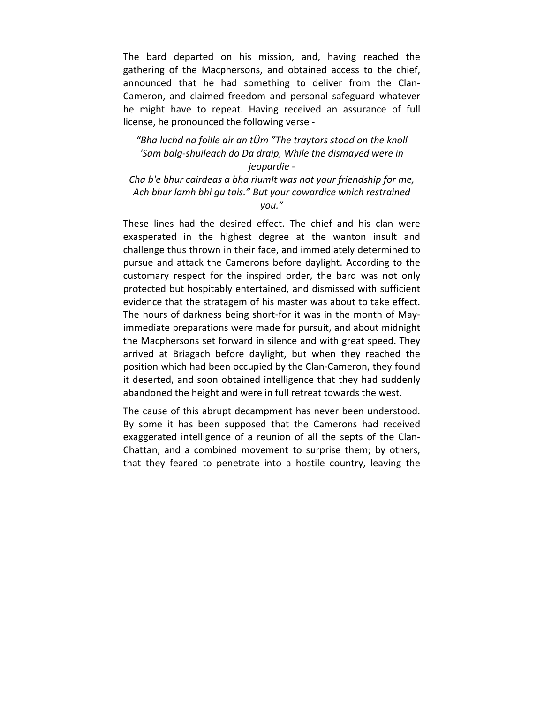The bard departed on his mission, and, having reached the gathering of the Macphersons, and obtained access to the chief, announced that he had something to deliver from the Clan-Cameron, and claimed freedom and personal safeguard whatever he might have to repeat. Having received an assurance of full license, he pronounced the following verse ‐

## *"Bha luchd na foille air an tÛm "The traytors stood on the knoll 'Sam balg‐shuileach do Da draip, While the dismayed were in jeopardie ‐*

*Cha b'e bhur cairdeas a bha riumIt was not your friendship for me, Ach bhur lamh bhi gu tais." But your cowardice which restrained you."*

These lines had the desired effect. The chief and his clan were exasperated in the highest degree at the wanton insult and challenge thus thrown in their face, and immediately determined to pursue and attack the Camerons before daylight. According to the customary respect for the inspired order, the bard was not only protected but hospitably entertained, and dismissed with sufficient evidence that the stratagem of his master was about to take effect. The hours of darkness being short‐for it was in the month of May‐ immediate preparations were made for pursuit, and about midnight the Macphersons set forward in silence and with great speed. They arrived at Briagach before daylight, but when they reached the position which had been occupied by the Clan‐Cameron, they found it deserted, and soon obtained intelligence that they had suddenly abandoned the height and were in full retreat towards the west.

The cause of this abrupt decampment has never been understood. By some it has been supposed that the Camerons had received exaggerated intelligence of a reunion of all the septs of the Clan-Chattan, and a combined movement to surprise them; by others, that they feared to penetrate into a hostile country, leaving the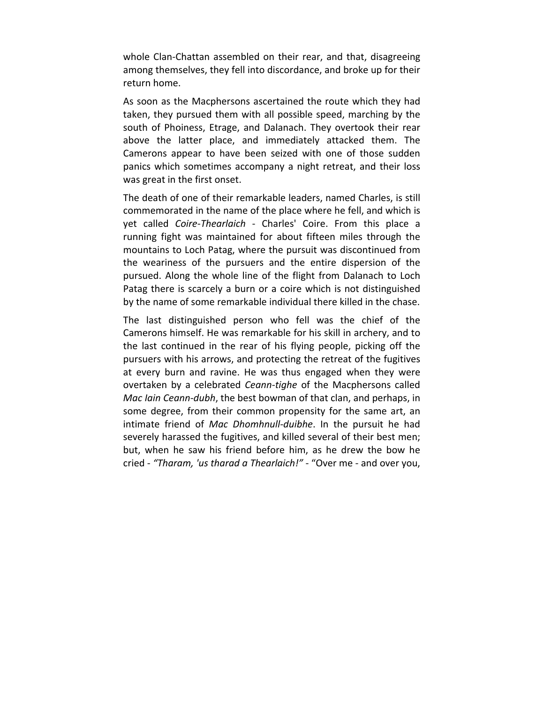whole Clan-Chattan assembled on their rear, and that, disagreeing among themselves, they fell into discordance, and broke up for their return home.

As soon as the Macphersons ascertained the route which they had taken, they pursued them with all possible speed, marching by the south of Phoiness, Etrage, and Dalanach. They overtook their rear above the latter place, and immediately attacked them. The Camerons appear to have been seized with one of those sudden panics which sometimes accompany a night retreat, and their loss was great in the first onset.

The death of one of their remarkable leaders, named Charles, is still commemorated in the name of the place where he fell, and which is yet called *Coire‐Thearlaich* ‐ Charles' Coire. From this place a running fight was maintained for about fifteen miles through the mountains to Loch Patag, where the pursuit was discontinued from the weariness of the pursuers and the entire dispersion of the pursued. Along the whole line of the flight from Dalanach to Loch Patag there is scarcely a burn or a coire which is not distinguished by the name of some remarkable individual there killed in the chase.

The last distinguished person who fell was the chief of the Camerons himself. He was remarkable for his skill in archery, and to the last continued in the rear of his flying people, picking off the pursuers with his arrows, and protecting the retreat of the fugitives at every burn and ravine. He was thus engaged when they were overtaken by a celebrated *Ceann‐tighe* of the Macphersons called *Mac Iain Ceann‐dubh*, the best bowman of that clan, and perhaps, in some degree, from their common propensity for the same art, an intimate friend of *Mac Dhomhnull‐duibhe*. In the pursuit he had severely harassed the fugitives, and killed several of their best men; but, when he saw his friend before him, as he drew the bow he cried ‐ *"Tharam, 'us tharad a Thearlaich!"* ‐ "Over me ‐ and over you,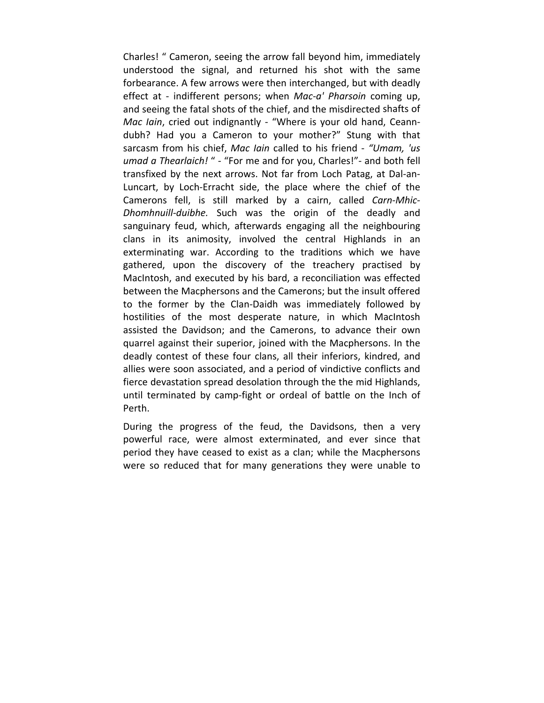Charles! " Cameron, seeing the arrow fall beyond him, immediately understood the signal, and returned his shot with the same forbearance. A few arrows were then interchanged, but with deadly effect at - indifferent persons; when *Mac-a' Pharsoin* coming up, and seeing the fatal shots of the chief, and the misdirected shafts of *Mac lain*, cried out indignantly - "Where is your old hand, Ceanndubh? Had you a Cameron to your mother?" Stung with that sarcasm from his chief, *Mac Iain* called to his friend ‐ *"Umam, 'us umad a Thearlaich!* " ‐ "For me and for you, Charles!"‐ and both fell transfixed by the next arrows. Not far from Loch Patag, at Dal‐an‐ Luncart, by Loch‐Erracht side, the place where the chief of the Camerons fell, is still marked by a cairn, called *Carn‐Mhic‐ Dhomhnuill‐duibhe.* Such was the origin of the deadly and sanguinary feud, which, afterwards engaging all the neighbouring clans in its animosity, involved the central Highlands in an exterminating war. According to the traditions which we have gathered, upon the discovery of the treachery practised by MacIntosh, and executed by his bard, a reconciliation was effected between the Macphersons and the Camerons; but the insult offered to the former by the Clan‐Daidh was immediately followed by hostilities of the most desperate nature, in which MacIntosh assisted the Davidson; and the Camerons, to advance their own quarrel against their superior, joined with the Macphersons. In the deadly contest of these four clans, all their inferiors, kindred, and allies were soon associated, and a period of vindictive conflicts and fierce devastation spread desolation through the the mid Highlands, until terminated by camp‐fight or ordeal of battle on the Inch of Perth.

During the progress of the feud, the Davidsons, then a very powerful race, were almost exterminated, and ever since that period they have ceased to exist as a clan; while the Macphersons were so reduced that for many generations they were unable to